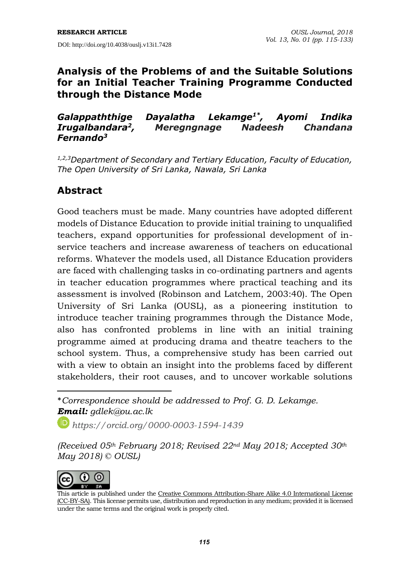### **Analysis of the Problems of and the Suitable Solutions for an Initial Teacher Training Programme Conducted through the Distance Mode**

#### *Galappaththige Dayalatha Lekamge1\* , Ayomi Indika Irugalbandara<sup>2</sup> , Meregngnage Nadeesh Chandana Fernando<sup>3</sup>*

*1,2,3Department of Secondary and Tertiary Education, Faculty of Education, The Open University of Sri Lanka, Nawala, Sri Lanka*

# **Abstract**

Good teachers must be made. Many countries have adopted different models of Distance Education to provide initial training to unqualified teachers, expand opportunities for professional development of inservice teachers and increase awareness of teachers on educational reforms. Whatever the models used, all Distance Education providers are faced with challenging tasks in co-ordinating partners and agents in teacher education programmes where practical teaching and its assessment is involved (Robinson and Latchem, 2003:40). The Open University of Sri Lanka (OUSL), as a pioneering institution to introduce teacher training programmes through the Distance Mode, also has confronted problems in line with an initial training programme aimed at producing drama and theatre teachers to the school system. Thus, a comprehensive study has been carried out with a view to obtain an insight into the problems faced by different stakeholders, their root causes, and to uncover workable solutions

\**Correspondence should be addressed to Prof. G. D. Lekamge. Email: gdlek@ou.ac.lk*

*https://orcid.org/0000-0003-1594-1439*

*(Received 05th February 2018; Revised 22nd May 2018; Accepted 30th May 2018) © OUSL)*



 $\overline{a}$ 

This article is published under the Creative Commons [Attribution-Share](http://creativecommons.org/licenses/by-sa/4.0/) Alike 4.0 International License (CC-BY-SA). This license permits use, distribution and reproduction in any medium; provided it is licensed under the same terms and the original work is properly cited.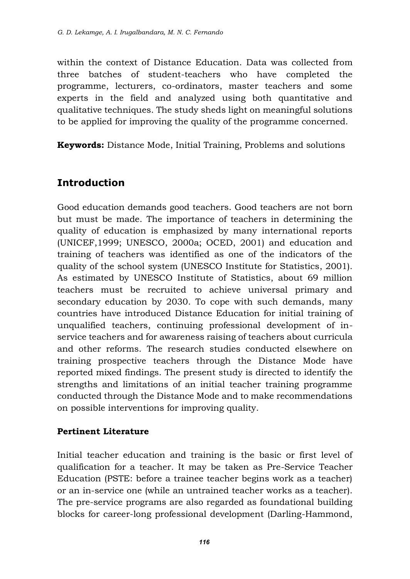within the context of Distance Education. Data was collected from three batches of student-teachers who have completed the programme, lecturers, co-ordinators, master teachers and some experts in the field and analyzed using both quantitative and qualitative techniques. The study sheds light on meaningful solutions to be applied for improving the quality of the programme concerned.

**Keywords:** Distance Mode, Initial Training, Problems and solutions

# **Introduction**

Good education demands good teachers. Good teachers are not born but must be made. The importance of teachers in determining the quality of education is emphasized by many international reports (UNICEF,1999; UNESCO, 2000a; OCED, 2001) and education and training of teachers was identified as one of the indicators of the quality of the school system (UNESCO Institute for Statistics, 2001). As estimated by UNESCO Institute of Statistics, about 69 million teachers must be recruited to achieve universal primary and secondary education by 2030. To cope with such demands, many countries have introduced Distance Education for initial training of unqualified teachers, continuing professional development of inservice teachers and for awareness raising of teachers about curricula and other reforms. The research studies conducted elsewhere on training prospective teachers through the Distance Mode have reported mixed findings. The present study is directed to identify the strengths and limitations of an initial teacher training programme conducted through the Distance Mode and to make recommendations on possible interventions for improving quality.

### **Pertinent Literature**

Initial teacher education and training is the basic or first level of qualification for a teacher. It may be taken as Pre-Service Teacher Education (PSTE: before a trainee teacher begins work as a teacher) or an in-service one (while an untrained teacher works as a teacher). The pre-service programs are also regarded as foundational building blocks for career-long professional development (Darling-Hammond,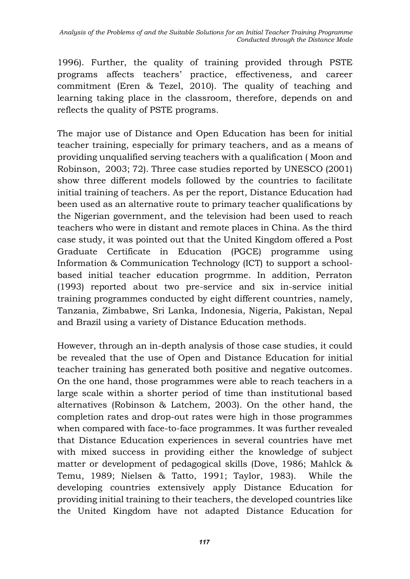1996). Further, the quality of training provided through PSTE programs affects teachers' practice, effectiveness, and career commitment (Eren & Tezel, 2010). The quality of teaching and learning taking place in the classroom, therefore, depends on and reflects the quality of PSTE programs.

The major use of Distance and Open Education has been for initial teacher training, especially for primary teachers, and as a means of providing unqualified serving teachers with a qualification ( Moon and Robinson, 2003; 72). Three case studies reported by UNESCO (2001) show three different models followed by the countries to facilitate initial training of teachers. As per the report, Distance Education had been used as an alternative route to primary teacher qualifications by the Nigerian government, and the television had been used to reach teachers who were in distant and remote places in China. As the third case study, it was pointed out that the United Kingdom offered a Post Graduate Certificate in Education (PGCE) programme using Information & Communication Technology (ICT) to support a schoolbased initial teacher education progrmme. In addition, Perraton (1993) reported about two pre-service and six in-service initial training programmes conducted by eight different countries, namely, Tanzania, Zimbabwe, Sri Lanka, Indonesia, Nigeria, Pakistan, Nepal and Brazil using a variety of Distance Education methods.

However, through an in-depth analysis of those case studies, it could be revealed that the use of Open and Distance Education for initial teacher training has generated both positive and negative outcomes. On the one hand, those programmes were able to reach teachers in a large scale within a shorter period of time than institutional based alternatives (Robinson & Latchem, 2003). On the other hand, the completion rates and drop-out rates were high in those programmes when compared with face-to-face programmes. It was further revealed that Distance Education experiences in several countries have met with mixed success in providing either the knowledge of subject matter or development of pedagogical skills (Dove, 1986; Mahlck & Temu, 1989; Nielsen & Tatto, 1991; Taylor, 1983). While the developing countries extensively apply Distance Education for providing initial training to their teachers, the developed countries like the United Kingdom have not adapted Distance Education for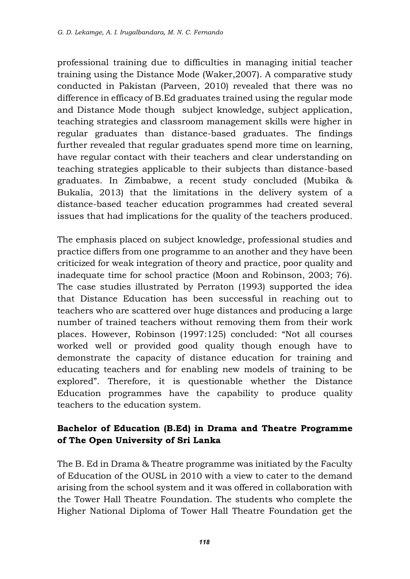professional training due to difficulties in managing initial teacher training using the Distance Mode (Waker,2007). A comparative study conducted in Pakistan (Parveen, 2010) revealed that there was no difference in efficacy of B.Ed graduates trained using the regular mode and Distance Mode though subject knowledge, subject application, teaching strategies and classroom management skills were higher in regular graduates than distance-based graduates. The findings further revealed that regular graduates spend more time on learning, have regular contact with their teachers and clear understanding on teaching strategies applicable to their subjects than distance-based graduates. In Zimbabwe, a recent study concluded (Mubika & Bukalia, 2013) that the limitations in the delivery system of a distance-based teacher education programmes had created several issues that had implications for the quality of the teachers produced.

The emphasis placed on subject knowledge, professional studies and practice differs from one programme to an another and they have been criticized for weak integration of theory and practice, poor quality and inadequate time for school practice (Moon and Robinson, 2003; 76). The case studies illustrated by Perraton (1993) supported the idea that Distance Education has been successful in reaching out to teachers who are scattered over huge distances and producing a large number of trained teachers without removing them from their work places. However, Robinson (1997:125) concluded: "Not all courses worked well or provided good quality though enough have to demonstrate the capacity of distance education for training and educating teachers and for enabling new models of training to be explored". Therefore, it is questionable whether the Distance Education programmes have the capability to produce quality teachers to the education system.

### **Bachelor of Education (B.Ed) in Drama and Theatre Programme of The Open University of Sri Lanka**

The B. Ed in Drama & Theatre programme was initiated by the Faculty of Education of the OUSL in 2010 with a view to cater to the demand arising from the school system and it was offered in collaboration with the Tower Hall Theatre Foundation. The students who complete the Higher National Diploma of Tower Hall Theatre Foundation get the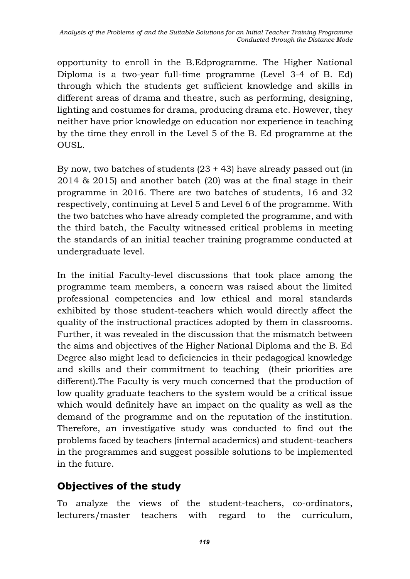opportunity to enroll in the B.Edprogramme. The Higher National Diploma is a two-year full-time programme (Level 3-4 of B. Ed) through which the students get sufficient knowledge and skills in different areas of drama and theatre, such as performing, designing, lighting and costumes for drama, producing drama etc. However, they neither have prior knowledge on education nor experience in teaching by the time they enroll in the Level 5 of the B. Ed programme at the OUSL.

By now, two batches of students (23 + 43) have already passed out (in 2014 & 2015) and another batch (20) was at the final stage in their programme in 2016. There are two batches of students, 16 and 32 respectively, continuing at Level 5 and Level 6 of the programme. With the two batches who have already completed the programme, and with the third batch, the Faculty witnessed critical problems in meeting the standards of an initial teacher training programme conducted at undergraduate level.

In the initial Faculty-level discussions that took place among the programme team members, a concern was raised about the limited professional competencies and low ethical and moral standards exhibited by those student-teachers which would directly affect the quality of the instructional practices adopted by them in classrooms. Further, it was revealed in the discussion that the mismatch between the aims and objectives of the Higher National Diploma and the B. Ed Degree also might lead to deficiencies in their pedagogical knowledge and skills and their commitment to teaching (their priorities are different).The Faculty is very much concerned that the production of low quality graduate teachers to the system would be a critical issue which would definitely have an impact on the quality as well as the demand of the programme and on the reputation of the institution. Therefore, an investigative study was conducted to find out the problems faced by teachers (internal academics) and student-teachers in the programmes and suggest possible solutions to be implemented in the future.

# **Objectives of the study**

To analyze the views of the student-teachers, co-ordinators, lecturers/master teachers with regard to the curriculum,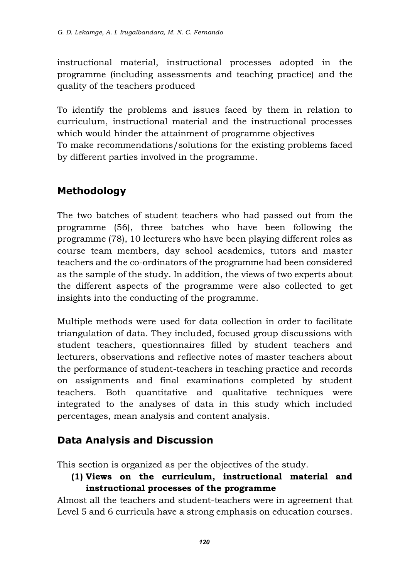instructional material, instructional processes adopted in the programme (including assessments and teaching practice) and the quality of the teachers produced

To identify the problems and issues faced by them in relation to curriculum, instructional material and the instructional processes which would hinder the attainment of programme objectives To make recommendations/solutions for the existing problems faced by different parties involved in the programme.

# **Methodology**

The two batches of student teachers who had passed out from the programme (56), three batches who have been following the programme (78), 10 lecturers who have been playing different roles as course team members, day school academics, tutors and master teachers and the co-ordinators of the programme had been considered as the sample of the study. In addition, the views of two experts about the different aspects of the programme were also collected to get insights into the conducting of the programme.

Multiple methods were used for data collection in order to facilitate triangulation of data. They included, focused group discussions with student teachers, questionnaires filled by student teachers and lecturers, observations and reflective notes of master teachers about the performance of student-teachers in teaching practice and records on assignments and final examinations completed by student teachers. Both quantitative and qualitative techniques were integrated to the analyses of data in this study which included percentages, mean analysis and content analysis.

# **Data Analysis and Discussion**

This section is organized as per the objectives of the study.

**(1) Views on the curriculum, instructional material and instructional processes of the programme**

Almost all the teachers and student-teachers were in agreement that Level 5 and 6 curricula have a strong emphasis on education courses.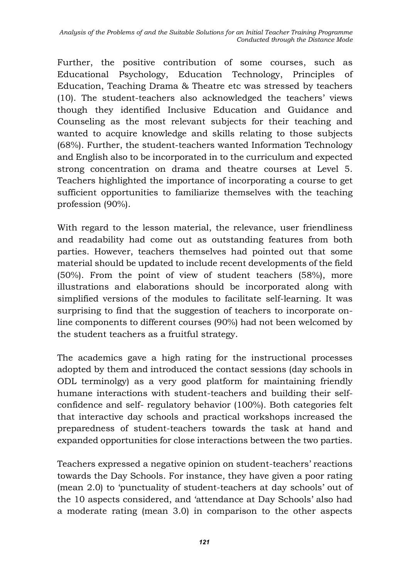Further, the positive contribution of some courses, such as Educational Psychology, Education Technology, Principles of Education, Teaching Drama & Theatre etc was stressed by teachers (10). The student-teachers also acknowledged the teachers' views though they identified Inclusive Education and Guidance and Counseling as the most relevant subjects for their teaching and wanted to acquire knowledge and skills relating to those subjects (68%). Further, the student-teachers wanted Information Technology and English also to be incorporated in to the curriculum and expected strong concentration on drama and theatre courses at Level 5. Teachers highlighted the importance of incorporating a course to get sufficient opportunities to familiarize themselves with the teaching profession (90%).

With regard to the lesson material, the relevance, user friendliness and readability had come out as outstanding features from both parties. However, teachers themselves had pointed out that some material should be updated to include recent developments of the field (50%). From the point of view of student teachers (58%), more illustrations and elaborations should be incorporated along with simplified versions of the modules to facilitate self-learning. It was surprising to find that the suggestion of teachers to incorporate online components to different courses (90%) had not been welcomed by the student teachers as a fruitful strategy.

The academics gave a high rating for the instructional processes adopted by them and introduced the contact sessions (day schools in ODL terminolgy) as a very good platform for maintaining friendly humane interactions with student-teachers and building their selfconfidence and self- regulatory behavior (100%). Both categories felt that interactive day schools and practical workshops increased the preparedness of student-teachers towards the task at hand and expanded opportunities for close interactions between the two parties.

Teachers expressed a negative opinion on student-teachers' reactions towards the Day Schools. For instance, they have given a poor rating (mean 2.0) to 'punctuality of student-teachers at day schools' out of the 10 aspects considered, and 'attendance at Day Schools' also had a moderate rating (mean 3.0) in comparison to the other aspects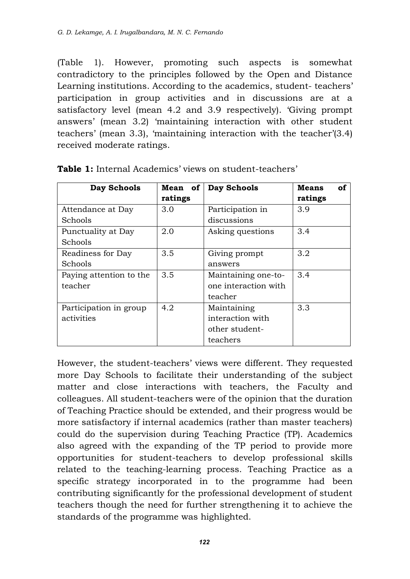(Table 1). However, promoting such aspects is somewhat contradictory to the principles followed by the Open and Distance Learning institutions. According to the academics, student- teachers' participation in group activities and in discussions are at a satisfactory level (mean 4.2 and 3.9 respectively). 'Giving prompt answers' (mean 3.2) 'maintaining interaction with other student teachers' (mean 3.3), 'maintaining interaction with the teacher'(3.4) received moderate ratings.

| Day Schools             | Mean of | Day Schools          | <b>Means</b><br>οf |
|-------------------------|---------|----------------------|--------------------|
|                         | ratings |                      | ratings            |
| Attendance at Day       | 3.0     | Participation in     | 3.9                |
| Schools                 |         | discussions          |                    |
| Punctuality at Day      | 2.0     | Asking questions     | 3.4                |
| Schools                 |         |                      |                    |
| Readiness for Day       | 3.5     | Giving prompt        | 3.2                |
| Schools                 |         | answers              |                    |
| Paying attention to the | 3.5     | Maintaining one-to-  | 3.4                |
| teacher                 |         | one interaction with |                    |
|                         |         | teacher              |                    |
| Participation in group  | 4.2     | Maintaining          | 3.3                |
| activities              |         | interaction with     |                    |
|                         |         | other student-       |                    |
|                         |         | teachers             |                    |

**Table 1:** Internal Academics' views on student-teachers'

However, the student-teachers' views were different. They requested more Day Schools to facilitate their understanding of the subject matter and close interactions with teachers, the Faculty and colleagues. All student-teachers were of the opinion that the duration of Teaching Practice should be extended, and their progress would be more satisfactory if internal academics (rather than master teachers) could do the supervision during Teaching Practice (TP). Academics also agreed with the expanding of the TP period to provide more opportunities for student-teachers to develop professional skills related to the teaching-learning process. Teaching Practice as a specific strategy incorporated in to the programme had been contributing significantly for the professional development of student teachers though the need for further strengthening it to achieve the standards of the programme was highlighted.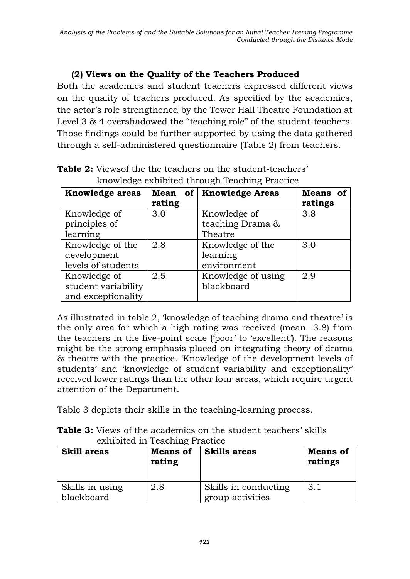### **(2) Views on the Quality of the Teachers Produced**

Both the academics and student teachers expressed different views on the quality of teachers produced. As specified by the academics, the actor's role strengthened by the Tower Hall Theatre Foundation at Level 3 & 4 overshadowed the "teaching role" of the student-teachers. Those findings could be further supported by using the data gathered through a self-administered questionnaire (Table 2) from teachers.

| <u>Rhowicago chindica</u> through reaching Fractice |        |                           |          |
|-----------------------------------------------------|--------|---------------------------|----------|
| <b>Knowledge areas</b>                              |        | Mean of   Knowledge Areas | Means of |
|                                                     | rating |                           | ratings  |
| Knowledge of                                        | 3.0    | Knowledge of              | 3.8      |
| principles of                                       |        | teaching Drama &          |          |
| learning                                            |        | Theatre                   |          |
| Knowledge of the                                    | 2.8    | Knowledge of the          | 3.0      |
| development                                         |        | learning                  |          |
| levels of students                                  |        | environment               |          |
| Knowledge of                                        | 2.5    | Knowledge of using        | 2.9      |
| student variability                                 |        | blackboard                |          |
| and exceptionality                                  |        |                           |          |

**Table 2:** Views of the the teachers on the student-teachers' knowledge exhibited through Teaching Practice

As illustrated in table 2, 'knowledge of teaching drama and theatre' is the only area for which a high rating was received (mean- 3.8) from the teachers in the five-point scale ('poor' to 'excellent'). The reasons might be the strong emphasis placed on integrating theory of drama & theatre with the practice. 'Knowledge of the development levels of students' and 'knowledge of student variability and exceptionality' received lower ratings than the other four areas, which require urgent attention of the Department.

Table 3 depicts their skills in the teaching-learning process.

**Table 3:** Views of the academics on the student teachers' skills exhibited in Teaching Practice

| <b>Skill areas</b>            | <b>Means of</b><br>rating | <b>Skills areas</b>                      | <b>Means of</b><br>ratings |
|-------------------------------|---------------------------|------------------------------------------|----------------------------|
| Skills in using<br>blackboard | 2.8                       | Skills in conducting<br>group activities | 3.1                        |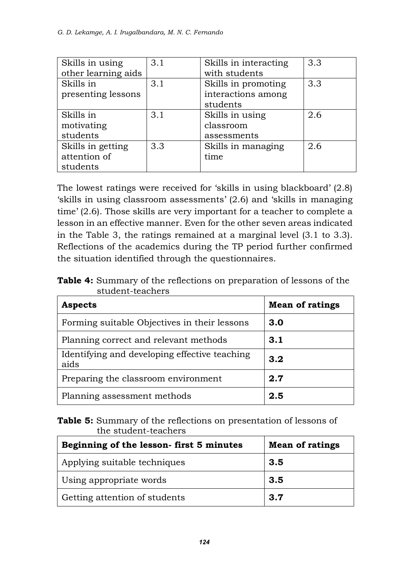| Skills in using     | 3.1 | Skills in interacting | 3.3 |
|---------------------|-----|-----------------------|-----|
| other learning aids |     | with students         |     |
| Skills in           | 3.1 | Skills in promoting   | 3.3 |
| presenting lessons  |     | interactions among    |     |
|                     |     | students              |     |
| Skills in           | 3.1 | Skills in using       | 2.6 |
| motivating          |     | classroom             |     |
| students            |     | assessments           |     |
| Skills in getting   | 3.3 | Skills in managing    | 2.6 |
| attention of        |     | time                  |     |
| students            |     |                       |     |

The lowest ratings were received for 'skills in using blackboard' (2.8) 'skills in using classroom assessments' (2.6) and 'skills in managing time' (2.6). Those skills are very important for a teacher to complete a lesson in an effective manner. Even for the other seven areas indicated in the Table 3, the ratings remained at a marginal level (3.1 to 3.3). Reflections of the academics during the TP period further confirmed the situation identified through the questionnaires.

**Table 4:** Summary of the reflections on preparation of lessons of the student-teachers

| <b>Aspects</b>                                        | <b>Mean of ratings</b> |
|-------------------------------------------------------|------------------------|
| Forming suitable Objectives in their lessons          | 3.0                    |
| Planning correct and relevant methods                 | 3.1                    |
| Identifying and developing effective teaching<br>aids | 3.2                    |
| Preparing the classroom environment                   | 2.7                    |
| Planning assessment methods                           | 2.5                    |

**Table 5:** Summary of the reflections on presentation of lessons of the student-teachers

| Beginning of the lesson-first 5 minutes | <b>Mean of ratings</b> |
|-----------------------------------------|------------------------|
| Applying suitable techniques            | 3.5                    |
| Using appropriate words                 | 3.5                    |
| Getting attention of students           | 3.7                    |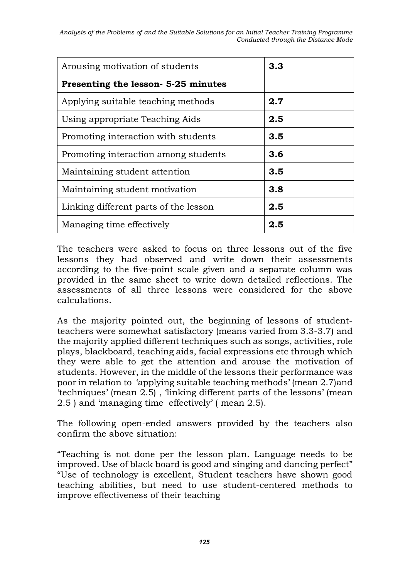*Analysis of the Problems of and the Suitable Solutions for an Initial Teacher Training Programme Conducted through the Distance Mode*

| Arousing motivation of students       | 3.3     |
|---------------------------------------|---------|
| Presenting the lesson- 5-25 minutes   |         |
| Applying suitable teaching methods    | 2.7     |
| Using appropriate Teaching Aids       | $2.5\,$ |
| Promoting interaction with students   | 3.5     |
| Promoting interaction among students  | 3.6     |
| Maintaining student attention         | 3.5     |
| Maintaining student motivation        | 3.8     |
| Linking different parts of the lesson | $2.5\,$ |
| Managing time effectively             | 2.5     |

The teachers were asked to focus on three lessons out of the five lessons they had observed and write down their assessments according to the five-point scale given and a separate column was provided in the same sheet to write down detailed reflections. The assessments of all three lessons were considered for the above calculations.

As the majority pointed out, the beginning of lessons of studentteachers were somewhat satisfactory (means varied from 3.3-3.7) and the majority applied different techniques such as songs, activities, role plays, blackboard, teaching aids, facial expressions etc through which they were able to get the attention and arouse the motivation of students. However, in the middle of the lessons their performance was poor in relation to 'applying suitable teaching methods' (mean 2.7)and 'techniques' (mean 2.5) , 'linking different parts of the lessons' (mean 2.5 ) and 'managing time effectively' ( mean 2.5).

The following open-ended answers provided by the teachers also confirm the above situation:

"Teaching is not done per the lesson plan. Language needs to be improved. Use of black board is good and singing and dancing perfect" "Use of technology is excellent, Student teachers have shown good teaching abilities, but need to use student-centered methods to improve effectiveness of their teaching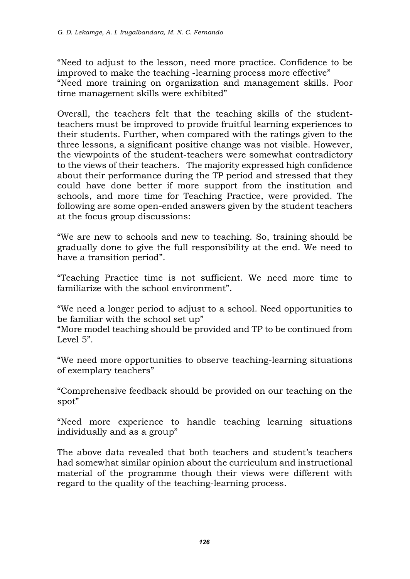"Need to adjust to the lesson, need more practice. Confidence to be improved to make the teaching -learning process more effective" "Need more training on organization and management skills. Poor time management skills were exhibited"

Overall, the teachers felt that the teaching skills of the studentteachers must be improved to provide fruitful learning experiences to their students. Further, when compared with the ratings given to the three lessons, a significant positive change was not visible. However, the viewpoints of the student-teachers were somewhat contradictory to the views of their teachers. The majority expressed high confidence about their performance during the TP period and stressed that they could have done better if more support from the institution and schools, and more time for Teaching Practice, were provided. The following are some open-ended answers given by the student teachers at the focus group discussions:

"We are new to schools and new to teaching. So, training should be gradually done to give the full responsibility at the end. We need to have a transition period".

"Teaching Practice time is not sufficient. We need more time to familiarize with the school environment".

"We need a longer period to adjust to a school. Need opportunities to be familiar with the school set up"

"More model teaching should be provided and TP to be continued from Level 5".

"We need more opportunities to observe teaching-learning situations of exemplary teachers"

"Comprehensive feedback should be provided on our teaching on the spot"

"Need more experience to handle teaching learning situations individually and as a group"

The above data revealed that both teachers and student's teachers had somewhat similar opinion about the curriculum and instructional material of the programme though their views were different with regard to the quality of the teaching-learning process.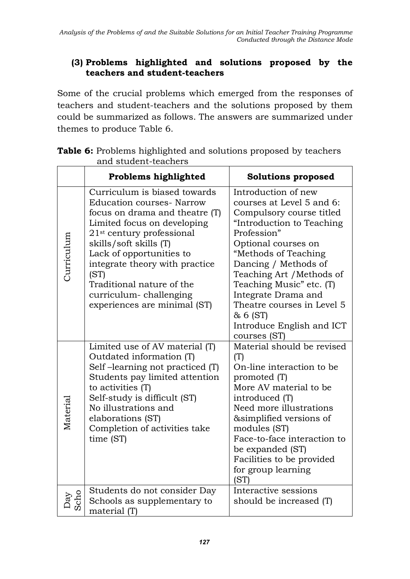### **(3) Problems highlighted and solutions proposed by the teachers and student-teachers**

Some of the crucial problems which emerged from the responses of teachers and student-teachers and the solutions proposed by them could be summarized as follows. The answers are summarized under themes to produce Table 6.

|             | Problems highlighted                                                                                                                                                                                                                                                                                                                                              | <b>Solutions proposed</b>                                                                                                                                                                                                                                                                                                                                              |
|-------------|-------------------------------------------------------------------------------------------------------------------------------------------------------------------------------------------------------------------------------------------------------------------------------------------------------------------------------------------------------------------|------------------------------------------------------------------------------------------------------------------------------------------------------------------------------------------------------------------------------------------------------------------------------------------------------------------------------------------------------------------------|
| Curriculum  | Curriculum is biased towards<br><b>Education courses- Narrow</b><br>focus on drama and theatre (T)<br>Limited focus on developing<br>21 <sup>st</sup> century professional<br>skills/soft skills (T)<br>Lack of opportunities to<br>integrate theory with practice<br>(ST)<br>Traditional nature of the<br>curriculum-challenging<br>experiences are minimal (ST) | Introduction of new<br>courses at Level 5 and 6:<br>Compulsory course titled<br>"Introduction to Teaching<br>Profession"<br>Optional courses on<br>"Methods of Teaching<br>Dancing / Methods of<br>Teaching Art / Methods of<br>Teaching Music" etc. (T)<br>Integrate Drama and<br>Theatre courses in Level 5<br>& 6 (ST)<br>Introduce English and ICT<br>courses (ST) |
| Material    | Limited use of AV material (T)<br>Outdated information (T)<br>Self-learning not practiced (T)<br>Students pay limited attention<br>to activities (T)<br>Self-study is difficult (ST)<br>No illustrations and<br>elaborations (ST)<br>Completion of activities take<br>time (ST)                                                                                   | Material should be revised<br>(T)<br>On-line interaction to be<br>promoted (T)<br>More AV material to be<br>introduced (T)<br>Need more illustrations<br>&simplified versions of<br>modules (ST)<br>Face-to-face interaction to<br>be expanded (ST)<br>Facilities to be provided<br>for group learning<br>(ST)                                                         |
| Scho<br>Day | Students do not consider Day<br>Schools as supplementary to<br>material (T)                                                                                                                                                                                                                                                                                       | Interactive sessions<br>should be increased (T)                                                                                                                                                                                                                                                                                                                        |

**Table 6:** Problems highlighted and solutions proposed by teachers and student-teachers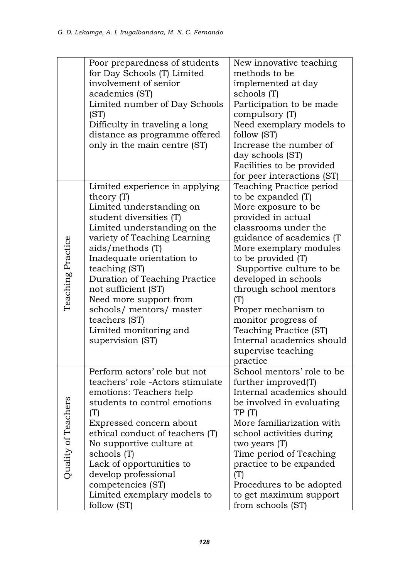|                         | Poor preparedness of students<br>for Day Schools (T) Limited<br>involvement of senior<br>academics (ST)<br>Limited number of Day Schools<br>(ST)<br>Difficulty in traveling a long<br>distance as programme offered<br>only in the main centre (ST)                                                                                                                                                                 | New innovative teaching<br>methods to be<br>implemented at day<br>schools (T)<br>Participation to be made<br>compulsory (T)<br>Need exemplary models to<br>follow (ST)<br>Increase the number of<br>day schools (ST)<br>Facilities to be provided<br>for peer interactions (ST)                                                                                                                                             |
|-------------------------|---------------------------------------------------------------------------------------------------------------------------------------------------------------------------------------------------------------------------------------------------------------------------------------------------------------------------------------------------------------------------------------------------------------------|-----------------------------------------------------------------------------------------------------------------------------------------------------------------------------------------------------------------------------------------------------------------------------------------------------------------------------------------------------------------------------------------------------------------------------|
| Teaching Practice       | Limited experience in applying<br>theory $(T)$<br>Limited understanding on<br>student diversities (T)<br>Limited understanding on the<br>variety of Teaching Learning<br>aids/methods(T)<br>Inadequate orientation to<br>teaching (ST)<br>Duration of Teaching Practice<br>not sufficient (ST)<br>Need more support from<br>schools/ mentors/ master<br>teachers (ST)<br>Limited monitoring and<br>supervision (ST) | Teaching Practice period<br>to be expanded (T)<br>More exposure to be<br>provided in actual<br>classrooms under the<br>guidance of academics (T<br>More exemplary modules<br>to be provided (T)<br>Supportive culture to be<br>developed in schools<br>through school mentors<br>(T)<br>Proper mechanism to<br>monitor progress of<br>Teaching Practice (ST)<br>Internal academics should<br>supervise teaching<br>practice |
| ers<br>Quality of Teach | Perform actors' role but not<br>teachers' role -Actors stimulate<br>emotions: Teachers help<br>students to control emotions<br>(T)<br>Expressed concern about<br>ethical conduct of teachers (T)<br>No supportive culture at<br>schools (T)<br>Lack of opportunities to<br>develop professional<br>competencies (ST)<br>Limited exemplary models to<br>follow (ST)                                                  | School mentors' role to be<br>further improved(T)<br>Internal academics should<br>be involved in evaluating<br>TP(T)<br>More familiarization with<br>school activities during<br>two years (T)<br>Time period of Teaching<br>practice to be expanded<br>(T)<br>Procedures to be adopted<br>to get maximum support<br>from schools (ST)                                                                                      |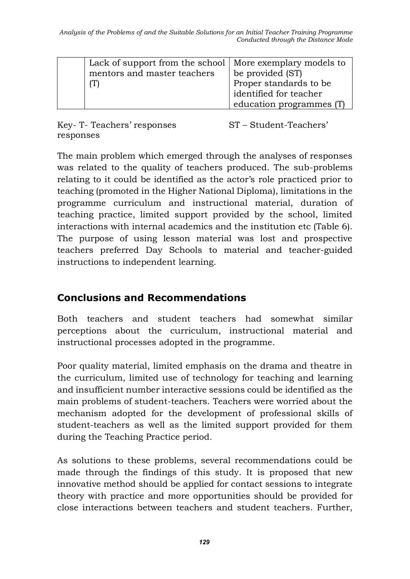| Lack of support from the school   More exemplary models to<br>mentors and master teachers | be provided (ST)<br>Proper standards to be<br>identified for teacher<br>education programmes (T) |
|-------------------------------------------------------------------------------------------|--------------------------------------------------------------------------------------------------|
|-------------------------------------------------------------------------------------------|--------------------------------------------------------------------------------------------------|

Key- T- Teachers' responses ST – Student-Teachers' responses

The main problem which emerged through the analyses of responses was related to the quality of teachers produced. The sub-problems relating to it could be identified as the actor's role practiced prior to teaching (promoted in the Higher National Diploma), limitations in the programme curriculum and instructional material, duration of teaching practice, limited support provided by the school, limited interactions with internal academics and the institution etc (Table 6). The purpose of using lesson material was lost and prospective teachers preferred Day Schools to material and teacher-guided instructions to independent learning.

### **Conclusions and Recommendations**

Both teachers and student teachers had somewhat similar perceptions about the curriculum, instructional material and instructional processes adopted in the programme.

Poor quality material, limited emphasis on the drama and theatre in the curriculum, limited use of technology for teaching and learning and insufficient number interactive sessions could be identified as the main problems of student-teachers. Teachers were worried about the mechanism adopted for the development of professional skills of student-teachers as well as the limited support provided for them during the Teaching Practice period.

As solutions to these problems, several recommendations could be made through the findings of this study. It is proposed that new innovative method should be applied for contact sessions to integrate theory with practice and more opportunities should be provided for close interactions between teachers and student teachers. Further,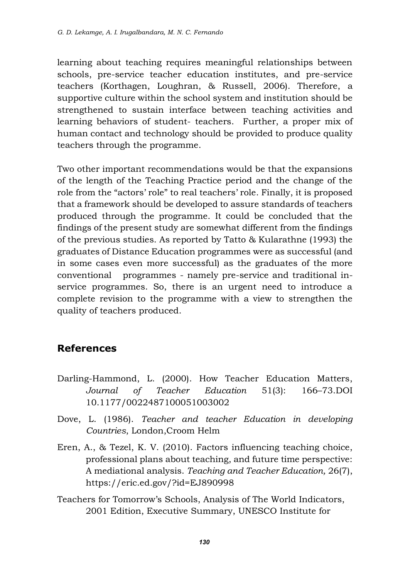learning about teaching requires meaningful relationships between schools, pre-service teacher education institutes, and pre-service teachers (Korthagen, Loughran, & Russell, 2006). Therefore, a supportive culture within the school system and institution should be strengthened to sustain interface between teaching activities and learning behaviors of student- teachers. Further, a proper mix of human contact and technology should be provided to produce quality teachers through the programme.

Two other important recommendations would be that the expansions of the length of the Teaching Practice period and the change of the role from the "actors' role" to real teachers' role. Finally, it is proposed that a framework should be developed to assure standards of teachers produced through the programme. It could be concluded that the findings of the present study are somewhat different from the findings of the previous studies. As reported by Tatto & Kularathne (1993) the graduates of Distance Education programmes were as successful (and in some cases even more successful) as the graduates of the more conventional programmes - namely pre-service and traditional inservice programmes. So, there is an urgent need to introduce a complete revision to the programme with a view to strengthen the quality of teachers produced.

### **References**

- Darling-Hammond, L. (2000). How Teacher Education Matters, *Journal of Teacher Education* 51(3): 166–73.DOI 10.1177/0022487100051003002
- Dove, L. (1986). *Teacher and teacher Education in developing Countries*, London,Croom Helm
- Eren, A., & Tezel, K. V. (2010). Factors influencing teaching choice, professional plans about teaching, and future time perspective: A mediational analysis. *Teaching and Teacher Education,* 26(7), https://eric.ed.gov/?id=EJ890998
- Teachers for Tomorrow's Schools, Analysis of The World Indicators, 2001 Edition, Executive Summary, UNESCO Institute for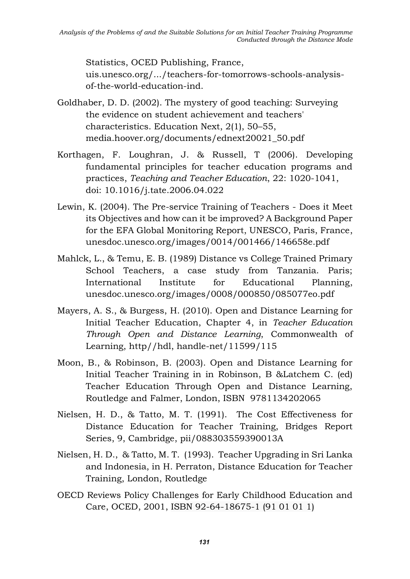Statistics, OCED Publishing, France,

uis.unesco.org/.../teachers-for-tomorrows-schools-analysisof-the-world-education-ind.

- Goldhaber, D. D. (2002). The mystery of good teaching: Surveying the evidence on student achievement and teachers' characteristics. Education Next, 2(1), 50–55, media.hoover.org/documents/ednext20021\_50.pdf
- Korthagen, F. Loughran, J. & Russell, T (2006). Developing fundamental principles for teacher education programs and practices, *Teaching and Teacher Education*, 22: 1020-1041, doi: 10.1016/j.tate.2006.04.022
- Lewin, K. (2004). The Pre-service Training of Teachers Does it Meet its Objectives and how can it be improved? A Background Paper for the EFA Global Monitoring Report, UNESCO, Paris, France, unesdoc.unesco.org/images/0014/001466/146658e.pdf
- Mahlck, L., & Temu, E. B. (1989) Distance vs College Trained Primary School Teachers, a case study from Tanzania. Paris; International Institute for Educational Planning, unesdoc.unesco.org/images/0008/000850/085077eo.pdf
- Mayers, A. S., & Burgess, H. (2010). Open and Distance Learning for Initial Teacher Education, Chapter 4, in *Teacher Education Through Open and Distance Learning*, Commonwealth of Learning, http//hdl, handle-net/11599/115
- Moon, B., & Robinson, B. (2003). Open and Distance Learning for Initial Teacher Training in in Robinson, B &Latchem C. (ed) Teacher Education Through Open and Distance Learning, Routledge and Falmer, London, ISBN 9781134202065
- Nielsen, H. D., & Tatto, M. T. (1991). The Cost Effectiveness for Distance Education for Teacher Training, Bridges Report Series, 9, Cambridge, pii/088303559390013A
- Nielsen, H. D., & Tatto, M. T. (1993). Teacher Upgrading in Sri Lanka and Indonesia, in H. Perraton, Distance Education for Teacher Training, London, Routledge
- OECD Reviews Policy Challenges for Early Childhood Education and Care, OCED, 2001, ISBN 92-64-18675-1 (91 01 01 1)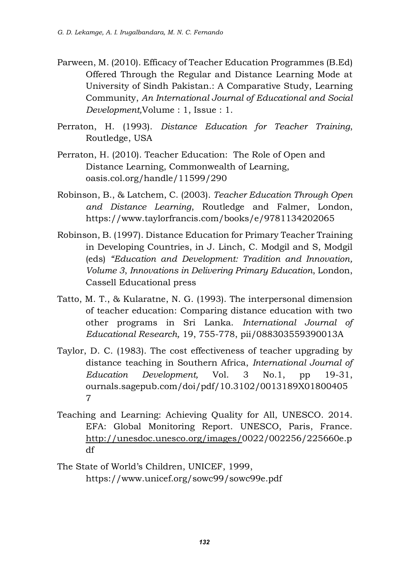- Parween, M. (2010). Efficacy of Teacher Education Programmes (B.Ed) Offered Through the Regular and Distance Learning Mode at University of Sindh Pakistan.: A Comparative Study, Learning Community, *An International Journal of Educational and Social Development,*Volume : 1, Issue : 1.
- Perraton, H. (1993). *Distance Education for Teacher Training*, Routledge, USA
- Perraton, H. (2010). Teacher Education: The Role of Open and Distance Learning, Commonwealth of Learning, oasis.col.org/handle/11599/290
- Robinson, B., & Latchem, C. (2003). *Teacher Education Through Open and Distance Learning*, Routledge and Falmer, London, https://www.taylorfrancis.com/books/e/9781134202065
- Robinson, B. (1997). Distance Education for Primary Teacher Training in Developing Countries, in J. Linch, C. Modgil and S, Modgil (eds) *"Education and Development: Tradition and Innovation, Volume 3*, *Innovations in Delivering Primary Education*, London, Cassell Educational press
- Tatto, M. T., & Kularatne, N. G. (1993). The interpersonal dimension of teacher education: Comparing distance education with two other programs in Sri Lanka. *International Journal of Educational Research,* 19, 755-778, pii/088303559390013A
- Taylor, D. C. (1983). The cost effectiveness of teacher upgrading by distance teaching in Southern Africa, *International Journal of Education Development,* Vol. 3 No.1, pp 19-31, ournals.sagepub.com/doi/pdf/10.3102/0013189X01800405 7
- Teaching and Learning: Achieving Quality for All, UNESCO. 2014. EFA: Global Monitoring Report. UNESCO, Paris, France. [http://unesdoc.unesco.org/images/0](http://unesdoc.unesco.org/images/)022/002256/225660e.p df
- The State of World's Children, UNICEF, 1999, https://www.unicef.org/sowc99/sowc99e.pdf